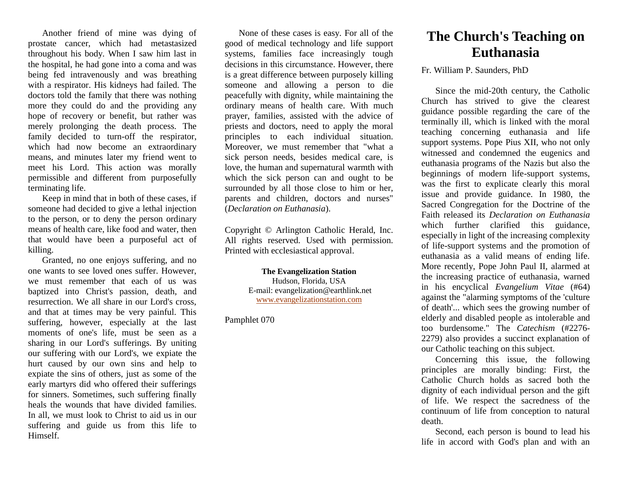Another friend of mine was dying of prostate cancer, which had metastasized throughout his body. When I saw him last in the hospital, he had gone into a coma and was being fed intravenously and was breathing with a respirator. His kidneys had failed. The doctors told the family that there was nothing more they could do and the providing any hope of recovery or benefit, but rather was merely prolonging the death process. The family decided to turn-off the respirator, which had now become an extraordinary means, and minutes later my friend went to meet his Lord. This action was morally permissible and different from purposefully terminating life.

Keep in mind that in both of these cases, if someone had decided to give a lethal injection to the person, or to deny the person ordinary means of health care, like food and water, then that would have been a purposeful act of killing.

Granted, no one enjoys suffering, and no one wants to see loved ones suffer. However, we must remember that each of us was baptized into Christ's passion, death, and resurrection. We all share in our Lord's cross, and that at times may be very painful. This suffering, however, especially at the last moments of one's life, must be seen as a sharing in our Lord's sufferings. By uniting our suffering with our Lord's, we expiate the hurt caused by our own sins and help to expiate the sins of others, just as some of the early martyrs did who offered their sufferings for sinners. Sometimes, such suffering finally heals the wounds that have divided families. In all, we must look to Christ to aid us in our suffering and guide us from this life to Himself.

None of these cases is easy. For all of the good of medical technology and life support systems, families face increasingly tough decisions in this circumstance. However, there is a great difference between purposely killing someone and allowing a person to die peacefully with dignity, while maintaining the ordinary means of health care. With much prayer, families, assisted with the advice of priests and doctors, need to apply the moral principles to each individual situation. Moreover, we must remember that "what a sick person needs, besides medical care, is love, the human and supernatural warmth with which the sick person can and ought to be surrounded by all those close to him or her, parents and children, doctors and nurses" (*Declaration on Euthanasia*).

Copyright © Arlington Catholic Herald, Inc. All rights reserved. Used with permission. Printed with ecclesiastical approval.

> **The Evangelization Station** Hudson, Florida, USA E-mail: evangelization@earthlink.net [www.evangelizationstation.com](http://www.pjpiisoe.org/)

Pamphlet 070

## **The Church's Teaching on Euthanasia**

## Fr. William P. Saunders, PhD

Since the mid-20th century, the Catholic Church has strived to give the clearest guidance possible regarding the care of the terminally ill, which is linked with the moral teaching concerning euthanasia and life support systems. Pope Pius XII, who not only witnessed and condemned the eugenics and euthanasia programs of the Nazis but also the beginnings of modern life-support systems, was the first to explicate clearly this moral issue and provide guidance. In 1980, the Sacred Congregation for the Doctrine of the Faith released its *Declaration on Euthanasia* which further clarified this guidance, especially in light of the increasing complexity of life-support systems and the promotion of euthanasia as a valid means of ending life. More recently, Pope John Paul II, alarmed at the increasing practice of euthanasia, warned in his encyclical *Evangelium Vitae* (#64) against the "alarming symptoms of the 'culture of death'... which sees the growing number of elderly and disabled people as intolerable and too burdensome." The *Catechism* (#2276- 2279) also provides a succinct explanation of our Catholic teaching on this subject.

Concerning this issue, the following principles are morally binding: First, the Catholic Church holds as sacred both the dignity of each individual person and the gift of life. We respect the sacredness of the continuum of life from conception to natural death.

Second, each person is bound to lead his life in accord with God's plan and with an